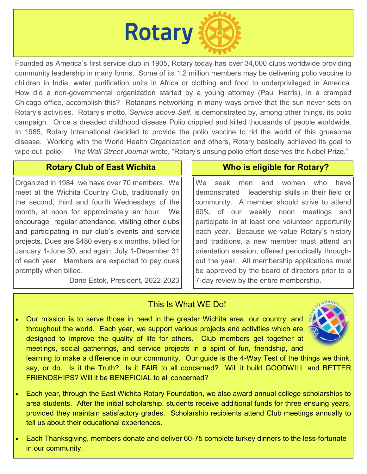

Founded as America's first service club in 1905, Rotary today has over 34,000 clubs worldwide providing community leadership in many forms. Some of its 1.2 million members may be delivering polio vaccine to children in India, water purification units in Africa or clothing and food to underprivileged in America. How did a non-governmental organization started by a young attorney (Paul Harris), in a cramped Chicago office, accomplish this? Rotarians networking in many ways prove that the sun never sets on Rotary's activities. Rotary's motto, *Service above Self*, is demonstrated by, among other things, its polio campaign. Once a dreaded childhood disease Polio crippled and killed thousands of people worldwide. In 1985, Rotary International decided to provide the polio vaccine to rid the world of this gruesome disease. Working with the World Health Organization and others, Rotary basically achieved its goal to wipe out polio. *The Wall Street Journal* wrote, "Rotary's unsung polio effort deserves the Nobel Prize."

## **Rotary Club of East Wichita Michild Club Who is eligible for Rotary?**

Organized in 1984, we have over 70 members. We meet at the Wichita Country Club, traditionally on the second, third and fourth Wednesdays of the month, at noon for approximately an hour. We encourage regular attendance, visiting other clubs and participating in our club's events and service projects. Dues are \$480 every six months, billed for January 1-June 30, and again, July 1-December 31 of each year. Members are expected to pay dues promptly when billed.

i<br>I

Dane Estok, President, 2022-2023

We seek men and women who have demonstrated leadership skills in their field or community. A member should strive to attend 60% of our weekly noon meetings and participate in at least one volunteer opportunity each year. Because we value Rotary's history and traditions, a new member must attend an orientation session, offered periodically throughout the year. All membership applications must be approved by the board of directors prior to a 7-day review by the entire membership.

## This Is What WE Do!

• Our mission is to serve those in need in the greater Wichita area, our country, and throughout the world. Each year, we support various projects and activities which are designed to improve the quality of life for others. Club members get together at meetings, social gatherings, and service projects in a spirit of fun, friendship, and



- learning to make a difference in our community. Our guide is the 4-Way Test of the things we think, say, or do. Is it the Truth? Is it FAIR to all concerned? Will it build GOODWILL and BETTER FRIENDSHIPS? Will it be BENEFICIAL to all concerned?
- Each year, through the East Wichita Rotary Foundation, we also award annual college scholarships to area students. After the initial scholarship, students receive additional funds for three ensuing years, provided they maintain satisfactory grades. Scholarship recipients attend Club meetings annually to tell us about their educational experiences.
- Each Thanksgiving, members donate and deliver 60-75 complete turkey dinners to the less-fortunate in our community.